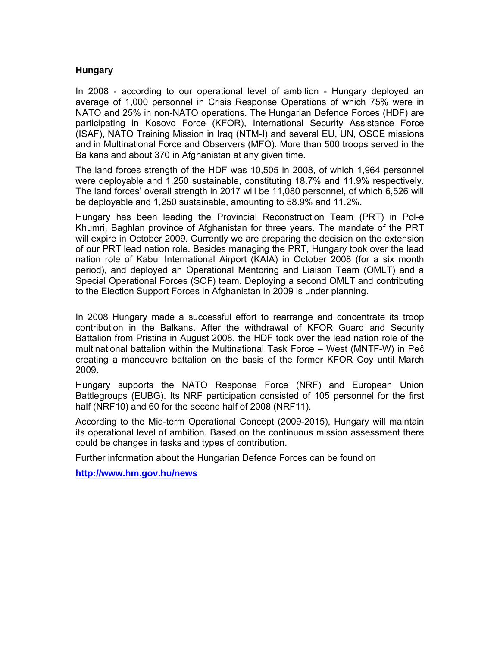## **Hungary**

In 2008 - according to our operational level of ambition - Hungary deployed an average of 1,000 personnel in Crisis Response Operations of which 75% were in NATO and 25% in non-NATO operations. The Hungarian Defence Forces (HDF) are participating in Kosovo Force (KFOR), International Security Assistance Force (ISAF), NATO Training Mission in Iraq (NTM-I) and several EU, UN, OSCE missions and in Multinational Force and Observers (MFO). More than 500 troops served in the Balkans and about 370 in Afghanistan at any given time.

The land forces strength of the HDF was 10,505 in 2008, of which 1,964 personnel were deployable and 1,250 sustainable, constituting 18.7% and 11.9% respectively. The land forces' overall strength in 2017 will be 11,080 personnel, of which 6,526 will be deployable and 1,250 sustainable, amounting to 58.9% and 11.2%.

Hungary has been leading the Provincial Reconstruction Team (PRT) in Pol-e Khumri, Baghlan province of Afghanistan for three years. The mandate of the PRT will expire in October 2009. Currently we are preparing the decision on the extension of our PRT lead nation role. Besides managing the PRT, Hungary took over the lead nation role of Kabul International Airport (KAIA) in October 2008 (for a six month period), and deployed an Operational Mentoring and Liaison Team (OMLT) and a Special Operational Forces (SOF) team. Deploying a second OMLT and contributing to the Election Support Forces in Afghanistan in 2009 is under planning.

In 2008 Hungary made a successful effort to rearrange and concentrate its troop contribution in the Balkans. After the withdrawal of KFOR Guard and Security Battalion from Pristina in August 2008, the HDF took over the lead nation role of the multinational battalion within the Multinational Task Force – West (MNTF-W) in Peč creating a manoeuvre battalion on the basis of the former KFOR Coy until March 2009.

Hungary supports the NATO Response Force (NRF) and European Union Battlegroups (EUBG). Its NRF participation consisted of 105 personnel for the first half (NRF10) and 60 for the second half of 2008 (NRF11).

According to the Mid-term Operational Concept (2009-2015), Hungary will maintain its operational level of ambition. Based on the continuous mission assessment there could be changes in tasks and types of contribution.

Further information about the Hungarian Defence Forces can be found on

**http://www.hm.gov.hu/news**